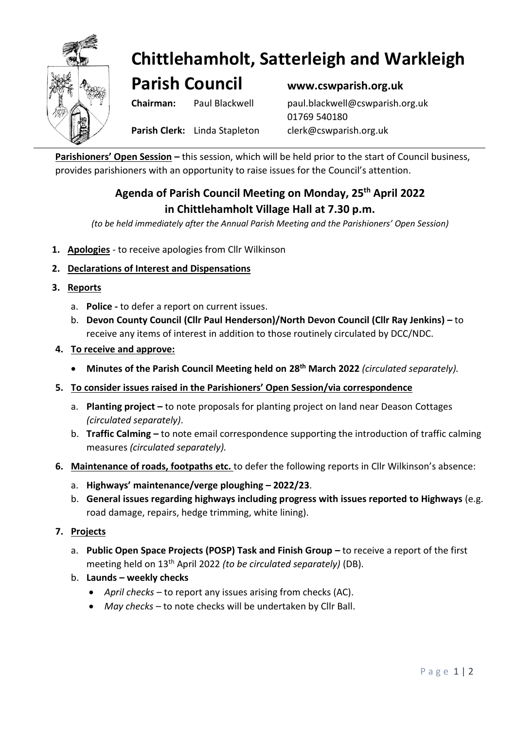

# **Chittlehamholt, Satterleigh and Warkleigh**

**Parish Council www.cswparish.org.uk**

**Chairman:** Paul Blackwell [paul.blackwell@cswparish.org.uk](mailto:paul.blackwell@cswparish.org.uk) 01769 540180

**Parish Clerk:** Linda Stapleton [clerk@cswparish.org.uk](mailto:clerk@cswparish.org.uk)

**Parishioners' Open Session –** this session, which will be held prior to the start of Council business, provides parishioners with an opportunity to raise issues for the Council's attention.

## **Agenda of Parish Council Meeting on Monday, 25 th April 2022 in Chittlehamholt Village Hall at 7.30 p.m.**

*(to be held immediately after the Annual Parish Meeting and the Parishioners' Open Session)*

- **1. Apologies** to receive apologies from Cllr Wilkinson
- **2. Declarations of Interest and Dispensations**
- **3. Reports**
	- a. **Police -** to defer a report on current issues.
	- b. **Devon County Council (Cllr Paul Henderson)/North Devon Council (Cllr Ray Jenkins) –** to receive any items of interest in addition to those routinely circulated by DCC/NDC.
- **4. To receive and approve:**
	- **Minutes of the Parish Council Meeting held on 28th March 2022** *(circulated separately).*
- **5. To consider issues raised in the Parishioners' Open Session/via correspondence**
	- a. **Planting project –** to note proposals for planting project on land near Deason Cottages *(circulated separately)*.
	- b. **Traffic Calming –** to note email correspondence supporting the introduction of traffic calming measures *(circulated separately).*
- **6. Maintenance of roads, footpaths etc.** to defer the following reports in Cllr Wilkinson's absence:
	- a. **Highways' maintenance/verge ploughing** *–* **2022/23**.
	- b. **General issues regarding highways including progress with issues reported to Highways** (e.g. road damage, repairs, hedge trimming, white lining).
- **7. Projects**
	- a. **Public Open Space Projects (POSP) Task and Finish Group to receive a report of the first** meeting held on 13th April 2022 *(to be circulated separately)* (DB).
	- b. **Launds – weekly checks**
		- *April checks*  to report any issues arising from checks (AC).
		- *May checks –* to note checks will be undertaken by Cllr Ball.